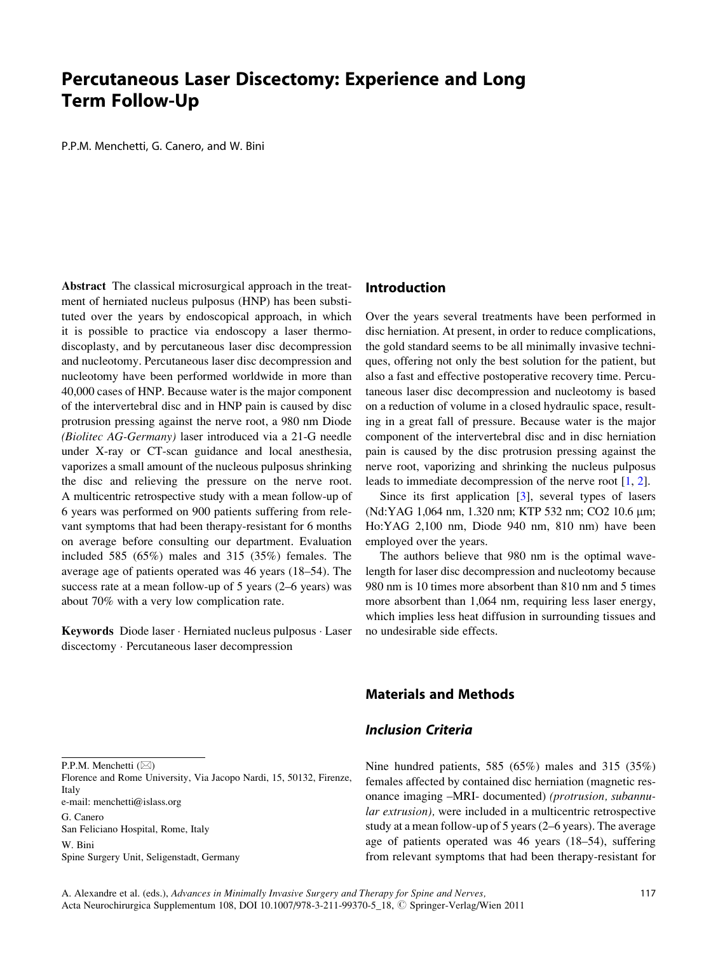# Percutaneous Laser Discectomy: Experience and Long Term Follow-Up

P.P.M. Menchetti, G. Canero, and W. Bini

Abstract The classical microsurgical approach in the treatment of herniated nucleus pulposus (HNP) has been substituted over the years by endoscopical approach, in which it is possible to practice via endoscopy a laser thermodiscoplasty, and by percutaneous laser disc decompression and nucleotomy. Percutaneous laser disc decompression and nucleotomy have been performed worldwide in more than 40,000 cases of HNP. Because water is the major component of the intervertebral disc and in HNP pain is caused by disc protrusion pressing against the nerve root, a 980 nm Diode (Biolitec AG-Germany) laser introduced via a 21-G needle under X-ray or CT-scan guidance and local anesthesia, vaporizes a small amount of the nucleous pulposus shrinking the disc and relieving the pressure on the nerve root. A multicentric retrospective study with a mean follow-up of 6 years was performed on 900 patients suffering from relevant symptoms that had been therapy-resistant for 6 months on average before consulting our department. Evaluation included 585 (65%) males and 315 (35%) females. The average age of patients operated was 46 years (18–54). The success rate at a mean follow-up of 5 years (2–6 years) was about 70% with a very low complication rate.

Keywords Diode laser · Herniated nucleus pulposus · Laser discectomy Percutaneous laser decompression

#### P.P.M. Menchetti  $(\boxtimes)$

Florence and Rome University, Via Jacopo Nardi, 15, 50132, Firenze, Italy

e-mail: menchetti@islass.org

G. Canero San Feliciano Hospital, Rome, Italy W. Bini Spine Surgery Unit, Seligenstadt, Germany

#### Introduction

Over the years several treatments have been performed in disc herniation. At present, in order to reduce complications, the gold standard seems to be all minimally invasive techniques, offering not only the best solution for the patient, but also a fast and effective postoperative recovery time. Percutaneous laser disc decompression and nucleotomy is based on a reduction of volume in a closed hydraulic space, resulting in a great fall of pressure. Because water is the major component of the intervertebral disc and in disc herniation pain is caused by the disc protrusion pressing against the nerve root, vaporizing and shrinking the nucleus pulposus leads to immediate decompression of the nerve root [[1,](#page-4-0) [2\]](#page-4-0).

Since its first application [[3\]](#page-4-0), several types of lasers (Nd:YAG 1,064 nm, 1.320 nm; KTP 532 nm; CO2 10.6 μm; Ho:YAG 2,100 nm, Diode 940 nm, 810 nm) have been employed over the years.

The authors believe that 980 nm is the optimal wavelength for laser disc decompression and nucleotomy because 980 nm is 10 times more absorbent than 810 nm and 5 times more absorbent than 1,064 nm, requiring less laser energy, which implies less heat diffusion in surrounding tissues and no undesirable side effects.

# Materials and Methods

## Inclusion Criteria

Nine hundred patients, 585 (65%) males and 315 (35%) females affected by contained disc herniation (magnetic resonance imaging –MRI- documented) (protrusion, subannular extrusion), were included in a multicentric retrospective study at a mean follow-up of 5 years (2–6 years). The average age of patients operated was 46 years (18–54), suffering from relevant symptoms that had been therapy-resistant for

A. Alexandre et al. (eds.), Advances in Minimally Invasive Surgery and Therapy for Spine and Nerves, Acta Neurochirurgica Supplementum 108, DOI 10.1007/978-3-211-99370-5\_18, © Springer-Verlag/Wien 2011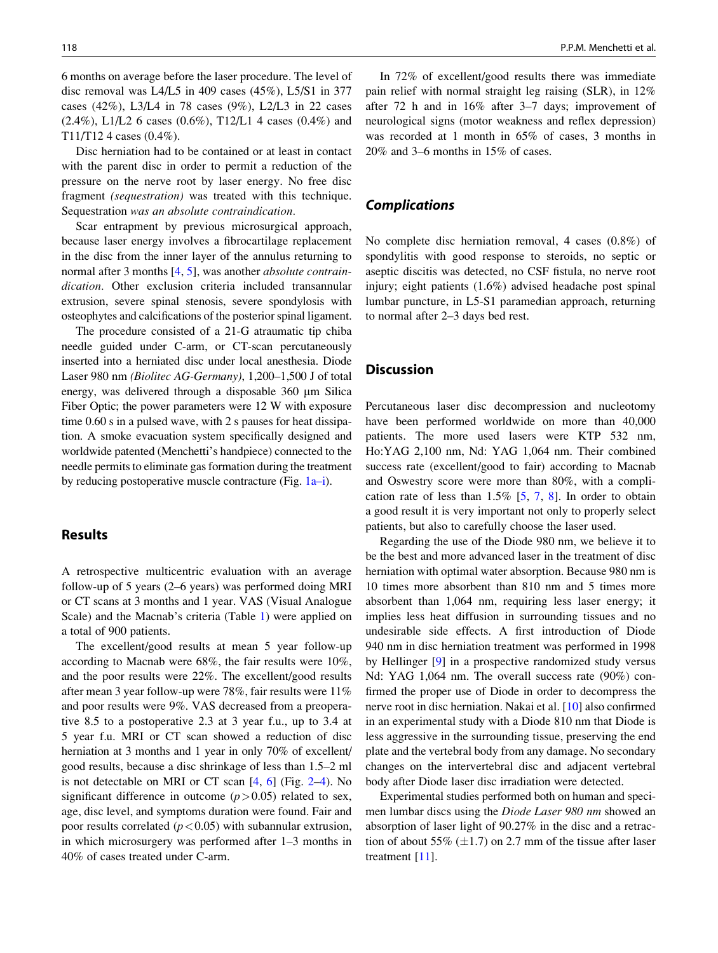6 months on average before the laser procedure. The level of disc removal was L4/L5 in 409 cases (45%), L5/S1 in 377 cases (42%), L3/L4 in 78 cases (9%), L2/L3 in 22 cases  $(2.4\%)$ , L1/L2 6 cases  $(0.6\%)$ , T12/L1 4 cases  $(0.4\%)$  and T11/T12 4 cases (0.4%).

Disc herniation had to be contained or at least in contact with the parent disc in order to permit a reduction of the pressure on the nerve root by laser energy. No free disc fragment (sequestration) was treated with this technique. Sequestration was an absolute contraindication.

Scar entrapment by previous microsurgical approach, because laser energy involves a fibrocartilage replacement in the disc from the inner layer of the annulus returning to normal after 3 months [\[4](#page-4-0), [5\]](#page-4-0), was another *absolute contrain*dication. Other exclusion criteria included transannular extrusion, severe spinal stenosis, severe spondylosis with osteophytes and calcifications of the posterior spinal ligament.

The procedure consisted of a 21-G atraumatic tip chiba needle guided under C-arm, or CT-scan percutaneously inserted into a herniated disc under local anesthesia. Diode Laser 980 nm (Biolitec AG-Germany), 1,200–1,500 J of total energy, was delivered through a disposable  $360 \mu m$  Silica Fiber Optic; the power parameters were 12 W with exposure time 0.60 s in a pulsed wave, with 2 s pauses for heat dissipation. A smoke evacuation system specifically designed and worldwide patented (Menchetti's handpiece) connected to the needle permits to eliminate gas formation during the treatment by reducing postoperative muscle contracture (Fig.  $1a-i$ ).

#### Results

A retrospective multicentric evaluation with an average follow-up of 5 years (2–6 years) was performed doing MRI or CT scans at 3 months and 1 year. VAS (Visual Analogue Scale) and the Macnab's criteria (Table [1](#page-3-0)) were applied on a total of 900 patients.

The excellent/good results at mean 5 year follow-up according to Macnab were 68%, the fair results were 10%, and the poor results were 22%. The excellent/good results after mean 3 year follow-up were 78%, fair results were 11% and poor results were 9%. VAS decreased from a preoperative 8.5 to a postoperative 2.3 at 3 year f.u., up to 3.4 at 5 year f.u. MRI or CT scan showed a reduction of disc herniation at 3 months and 1 year in only 70% of excellent/ good results, because a disc shrinkage of less than 1.5–2 ml is not detectable on MRI or CT scan  $[4, 6]$  $[4, 6]$  $[4, 6]$  $[4, 6]$  (Fig. [2–4](#page-3-0)). No significant difference in outcome  $(p>0.05)$  related to sex, age, disc level, and symptoms duration were found. Fair and poor results correlated  $(p<0.05)$  with subannular extrusion, in which microsurgery was performed after 1–3 months in 40% of cases treated under C-arm.

In 72% of excellent/good results there was immediate pain relief with normal straight leg raising (SLR), in 12% after 72 h and in 16% after 3–7 days; improvement of neurological signs (motor weakness and reflex depression) was recorded at 1 month in 65% of cases, 3 months in 20% and 3–6 months in 15% of cases.

#### Complications

No complete disc herniation removal, 4 cases (0.8%) of spondylitis with good response to steroids, no septic or aseptic discitis was detected, no CSF fistula, no nerve root injury; eight patients (1.6%) advised headache post spinal lumbar puncture, in L5-S1 paramedian approach, returning to normal after 2–3 days bed rest.

#### **Discussion**

Percutaneous laser disc decompression and nucleotomy have been performed worldwide on more than 40,000 patients. The more used lasers were KTP 532 nm, Ho:YAG 2,100 nm, Nd: YAG 1,064 nm. Their combined success rate (excellent/good to fair) according to Macnab and Oswestry score were more than 80%, with a complication rate of less than  $1.5\%$  [[5,](#page-4-0) [7](#page-4-0), [8\]](#page-4-0). In order to obtain a good result it is very important not only to properly select patients, but also to carefully choose the laser used.

Regarding the use of the Diode 980 nm, we believe it to be the best and more advanced laser in the treatment of disc herniation with optimal water absorption. Because 980 nm is 10 times more absorbent than 810 nm and 5 times more absorbent than 1,064 nm, requiring less laser energy; it implies less heat diffusion in surrounding tissues and no undesirable side effects. A first introduction of Diode 940 nm in disc herniation treatment was performed in 1998 by Hellinger [[9\]](#page-4-0) in a prospective randomized study versus Nd: YAG 1,064 nm. The overall success rate (90%) confirmed the proper use of Diode in order to decompress the nerve root in disc herniation. Nakai et al. [\[10](#page-4-0)] also confirmed in an experimental study with a Diode 810 nm that Diode is less aggressive in the surrounding tissue, preserving the end plate and the vertebral body from any damage. No secondary changes on the intervertebral disc and adjacent vertebral body after Diode laser disc irradiation were detected.

Experimental studies performed both on human and specimen lumbar discs using the Diode Laser 980 nm showed an absorption of laser light of 90.27% in the disc and a retraction of about 55%  $(\pm 1.7)$  on 2.7 mm of the tissue after laser treatment [\[11](#page-4-0)].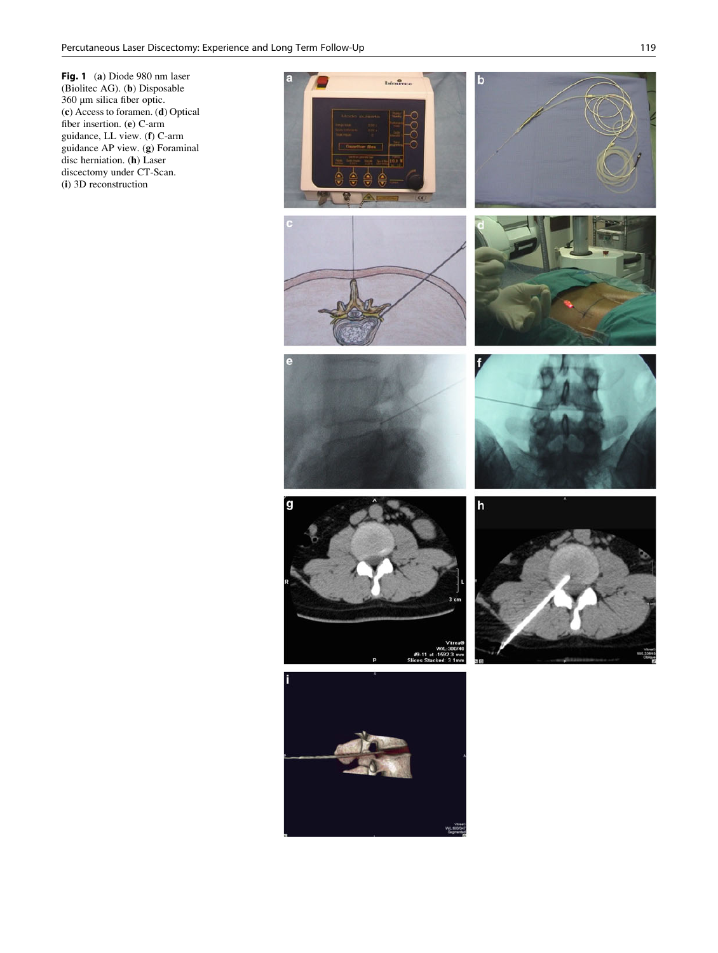<span id="page-2-0"></span>Fig. 1 (a) Diode 980 nm laser (Biolitec AG). (b) Disposable 360 µm silica fiber optic. (c) Access to foramen. (d) Optical fiber insertion. (e) C-arm guidance, LL view. (f) C-arm guidance AP view. (g) Foraminal disc herniation. (h) Laser discectomy under CT-Scan. (i) 3D reconstruction

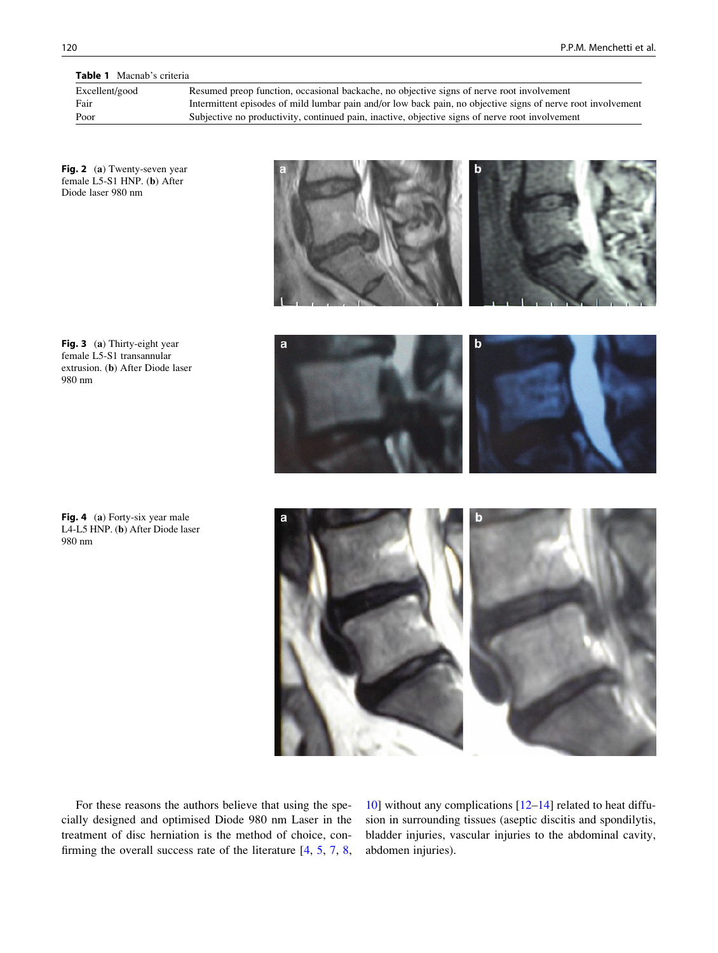<span id="page-3-0"></span>Table 1 Macnab's criteria

| Excellent/good | Resumed preop function, occasional backache, no objective signs of nerve root involvement                    |
|----------------|--------------------------------------------------------------------------------------------------------------|
| Fair           | Intermittent episodes of mild lumbar pain and/or low back pain, no objective signs of nerve root involvement |
| Poor           | Subjective no productivity, continued pain, inactive, objective signs of nerve root involvement              |
|                |                                                                                                              |

Fig. 2 (a) Twenty-seven year female L5-S1 HNP. (b) After Diode laser 980 nm

Fig. 3 (a) Thirty-eight year female L5-S1 transannular extrusion. (b) After Diode laser 980 nm

Fig. 4 (a) Forty-six year male L4-L5 HNP. (b) After Diode laser 980 nm



For these reasons the authors believe that using the specially designed and optimised Diode 980 nm Laser in the treatment of disc herniation is the method of choice, confirming the overall success rate of the literature [\[4](#page-4-0), [5,](#page-4-0) [7,](#page-4-0) [8](#page-4-0),

[10](#page-4-0)] without any complications [\[12–14](#page-4-0)] related to heat diffusion in surrounding tissues (aseptic discitis and spondilytis, bladder injuries, vascular injuries to the abdominal cavity, abdomen injuries).